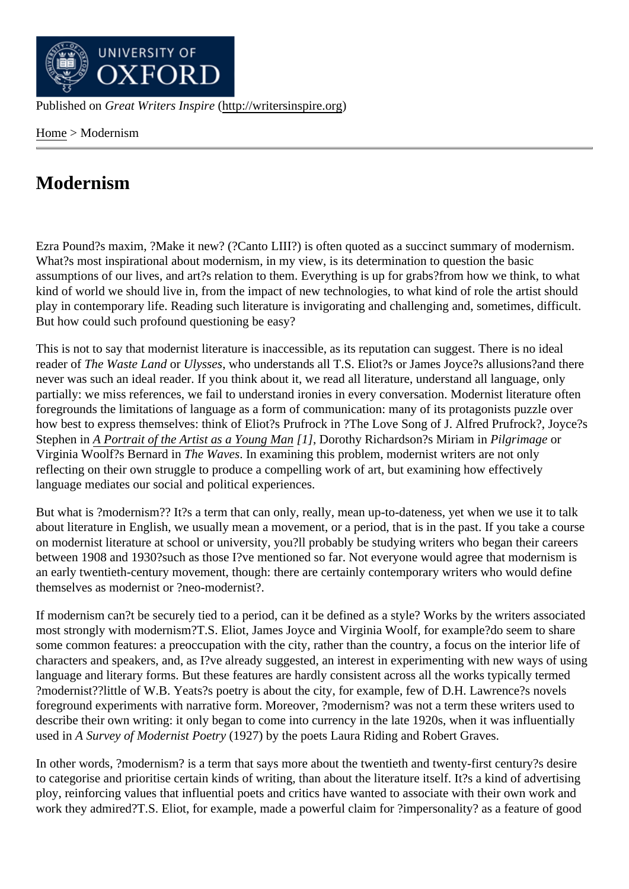Home> Modernism

## [Mod](http://writersinspire.org/)ernism

Ezra Pound?s maxim, ?Make it new? (?Canto LIII?) is often quoted as a succinct summary of modernism. What?s most inspirational about modernism, in my view, is its determination to question the basic assumptions of our lives, and art?s relation to them. Everything is up for grabs?from how we think, to what kind of world we should live in, from the impact of new technologies, to what kind of role the artist should play in contemporary life. Reading such literature is invigorating and challenging and, sometimes, difficult. But how could such profound questioning be easy?

This is not to say that modernist literature is inaccessible, as its reputation can suggest. There is no ideal reader of The Waste Landr Ulysses who understands all T.S. Eliot?s or James Joyce?s allusions?and there never was such an ideal reader. If you think about it, we read all literature, understand all language, only partially: we miss references, we fail to understand ironies in every conversation. Modernist literature often foregrounds the limitations of language as a form of communication: many of its protagonists puzzle over how best to express themselves: think of Eliot?s Prufrock in ?The Love Song of J. Alfred Prufrock?, Joyce?s Stephen in A Portrait of the Artist as a Young Man, Dorothy Richardson?s Miriam Philgrimage or Virginia Woolf?s Bernard in The Waves In examining this problem, modernist writers are not only reflecting on their own struggle to produce a compelling work of art, but examining how effectively language [mediates our social and political exp](http://writersinspire.org/portrait-artist-young-man)eriences.

But what is ?modernism?? It?s a term that can only, really, mean up-to-dateness, yet when we use it to talk about literature in English, we usually mean a movement, or a period, that is in the past. If you take a course on modernist literature at school or university, you?ll probably be studying writers who began their careers between 1908 and 1930?such as those I?ve mentioned so far. Not everyone would agree that modernism is an early twentieth-century movement, though: there are certainly contemporary writers who would define themselves as modernist or ?neo-modernist?.

If modernism can?t be securely tied to a period, can it be defined as a style? Works by the writers associated most strongly with modernism?T.S. Eliot, James Joyce and Virginia Woolf, for example?do seem to share some common features: a preoccupation with the city, rather than the country, a focus on the interior life of characters and speakers, and, as I?ve already suggested, an interest in experimenting with new ways of using language and literary forms. But these features are hardly consistent across all the works typically termed ?modernist??little of W.B. Yeats?s poetry is about the city, for example, few of D.H. Lawrence?s novels foreground experiments with narrative form. Moreover, ?modernism? was not a term these writers used to describe their own writing: it only began to come into currency in the late 1920s, when it was influentially used in A Survey of Modernist Poet(y 927) by the poets Laura Riding and Robert Graves.

In other words, ?modernism? is a term that says more about the twentieth and twenty-first century?s desire to categorise and prioritise certain kinds of writing, than about the literature itself. It?s a kind of advertising ploy, reinforcing values that influential poets and critics have wanted to associate with their own work and work they admired?T.S. Eliot, for example, made a powerful claim for ?impersonality? as a feature of good